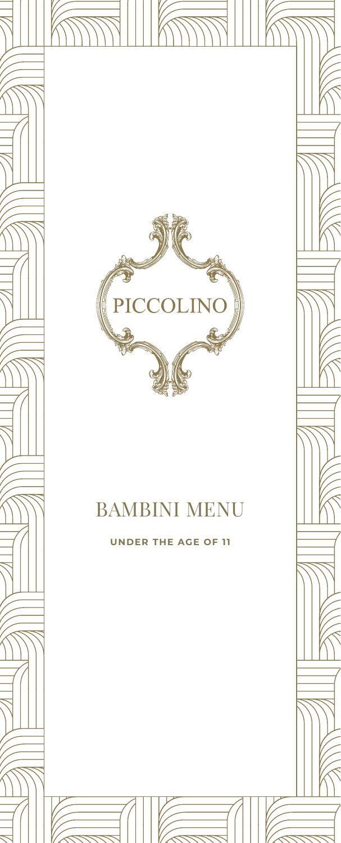



# BAMBINI MENU

**UNDER THE AGE OF 11**